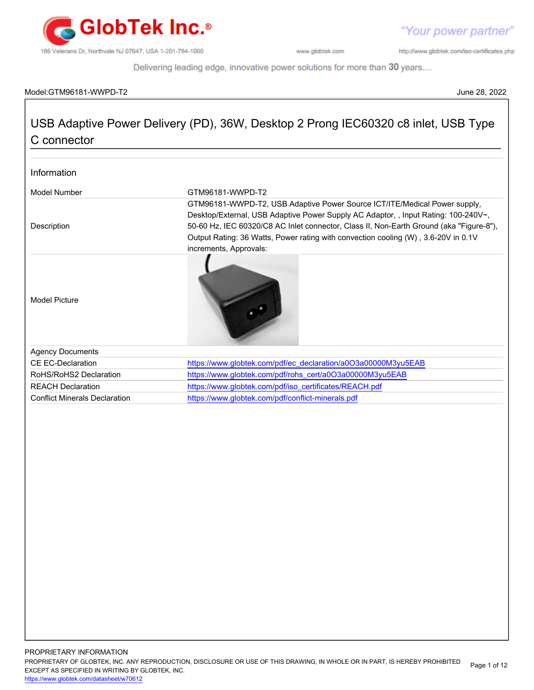

http://www.globtek.com/iso-certificates.php

Delivering leading edge, innovative power solutions for more than 30 years....

### Model:GTM96181-WWPD-T2 June 28, 2022

## USB Adaptive Power Delivery (PD), 36W, Desktop 2 Prong IEC60320 c8 inlet, USB Type C connector

| Information                          |                                                                                                                                                                                                                                                                                                                                                                            |
|--------------------------------------|----------------------------------------------------------------------------------------------------------------------------------------------------------------------------------------------------------------------------------------------------------------------------------------------------------------------------------------------------------------------------|
| Model Number                         | GTM96181-WWPD-T2                                                                                                                                                                                                                                                                                                                                                           |
| Description                          | GTM96181-WWPD-T2, USB Adaptive Power Source ICT/ITE/Medical Power supply,<br>Desktop/External, USB Adaptive Power Supply AC Adaptor, , Input Rating: 100-240V~,<br>50-60 Hz, IEC 60320/C8 AC Inlet connector, Class II, Non-Earth Ground (aka "Figure-8"),<br>Output Rating: 36 Watts, Power rating with convection cooling (W), 3.6-20V in 0.1V<br>increments, Approvals: |
| <b>Model Picture</b>                 |                                                                                                                                                                                                                                                                                                                                                                            |
| <b>Agency Documents</b>              |                                                                                                                                                                                                                                                                                                                                                                            |
| CE EC-Declaration                    | https://www.globtek.com/pdf/ec_declaration/a0O3a00000M3yu5EAB                                                                                                                                                                                                                                                                                                              |
| RoHS/RoHS2 Declaration               | https://www.globtek.com/pdf/rohs_cert/a0O3a00000M3yu5EAB                                                                                                                                                                                                                                                                                                                   |
| <b>REACH Declaration</b>             | https://www.globtek.com/pdf/iso_certificates/REACH.pdf                                                                                                                                                                                                                                                                                                                     |
| <b>Conflict Minerals Declaration</b> | https://www.globtek.com/pdf/conflict-minerals.pdf                                                                                                                                                                                                                                                                                                                          |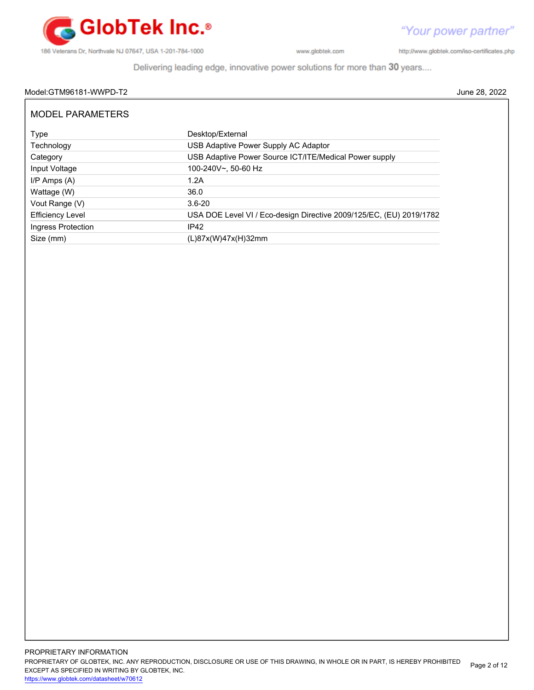

Delivering leading edge, innovative power solutions for more than 30 years....

## Model:GTM96181-WWPD-T2 June 28, 2022

| MODEL PARAMETERS        |                                                                     |
|-------------------------|---------------------------------------------------------------------|
| Type                    | Desktop/External                                                    |
| Technology              | USB Adaptive Power Supply AC Adaptor                                |
| Category                | USB Adaptive Power Source ICT/ITE/Medical Power supply              |
| Input Voltage           | 100-240V~, 50-60 Hz                                                 |
| $I/P$ Amps $(A)$        | 1.2A                                                                |
| Wattage (W)             | 36.0                                                                |
| Vout Range (V)          | $3.6 - 20$                                                          |
| <b>Efficiency Level</b> | USA DOE Level VI / Eco-design Directive 2009/125/EC, (EU) 2019/1782 |
| Ingress Protection      | IP42                                                                |
| Size (mm)               | (L)87x(W)47x(H)32mm                                                 |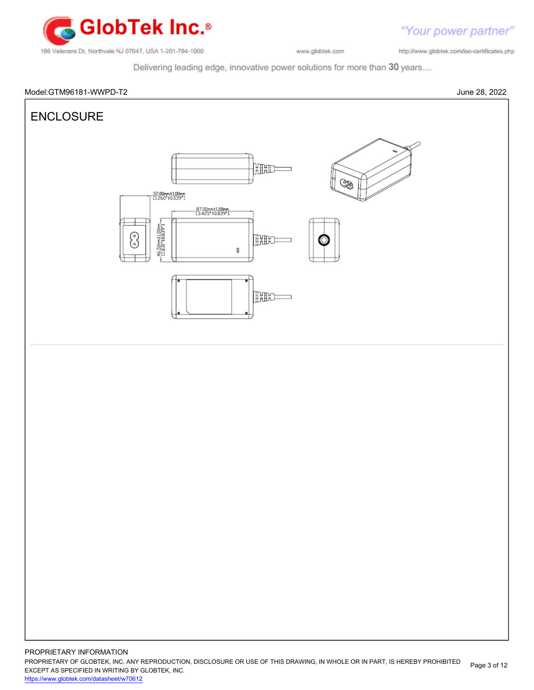

http://www.globtek.com/iso-certificates.php

Delivering leading edge, innovative power solutions for more than 30 years....



PROPRIETARY OF GLOBTEK, INC. ANY REPRODUCTION, DISCLOSURE OR USE OF THIS DRAWING, IN WHOLE OR IN PART, IS HEREBY PROHIBITED EXCEPT AS SPECIFIED IN WRITING BY GLOBTEK, INC. Page 3 of 12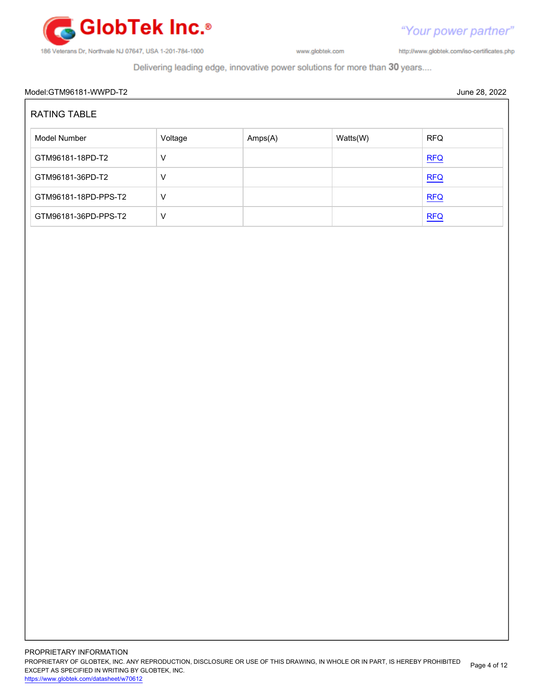

http://www.globtek.com/iso-certificates.php

"Your power partner"

Delivering leading edge, innovative power solutions for more than 30 years....

# Model:GTM96181-WWPD-T2 June 28, 2022 RATING TABLE Model Number **Amps(A)** Watts(W) RFQ GTM96181-18PD-T2 V [RFQ](https://en.globtek.com/model/id/a0O3a00000M3yu5EAB) GTM96181-36PD-T2 V V [RFQ](https://en.globtek.com/model/id/a0O3a00000M3yu5EAB)  $GTM96181-18PD-PPS-T2$   $V$  $G$ TM96181-36PD-PPS-T2 V [RFQ](https://en.globtek.com/model/id/a0O3a00000M3yu5EAB)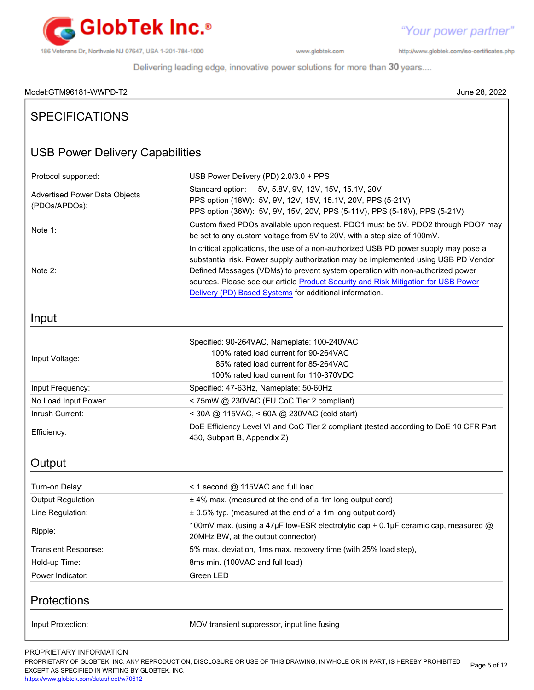

http://www.globtek.com/iso-certificates.php

Delivering leading edge, innovative power solutions for more than 30 years....

## Model:GTM96181-WWPD-T2 June 28, 2022

| 710061.01111120101-11112                              | JUIIT ZU, ZUZZ                                                                                                                                                                                                                                                                                                                                                                                                |
|-------------------------------------------------------|---------------------------------------------------------------------------------------------------------------------------------------------------------------------------------------------------------------------------------------------------------------------------------------------------------------------------------------------------------------------------------------------------------------|
| <b>SPECIFICATIONS</b>                                 |                                                                                                                                                                                                                                                                                                                                                                                                               |
| <b>USB Power Delivery Capabilities</b>                |                                                                                                                                                                                                                                                                                                                                                                                                               |
| Protocol supported:                                   | USB Power Delivery (PD) 2.0/3.0 + PPS                                                                                                                                                                                                                                                                                                                                                                         |
| <b>Advertised Power Data Objects</b><br>(PDOs/APDOs): | 5V, 5.8V, 9V, 12V, 15V, 15.1V, 20V<br>Standard option:<br>PPS option (18W): 5V, 9V, 12V, 15V, 15.1V, 20V, PPS (5-21V)<br>PPS option (36W): 5V, 9V, 15V, 20V, PPS (5-11V), PPS (5-16V), PPS (5-21V)                                                                                                                                                                                                            |
| Note 1:                                               | Custom fixed PDOs available upon request. PDO1 must be 5V. PDO2 through PDO7 may<br>be set to any custom voltage from 5V to 20V, with a step size of 100mV.                                                                                                                                                                                                                                                   |
| Note 2:                                               | In critical applications, the use of a non-authorized USB PD power supply may pose a<br>substantial risk. Power supply authorization may be implemented using USB PD Vendor<br>Defined Messages (VDMs) to prevent system operation with non-authorized power<br>sources. Please see our article Product Security and Risk Mitigation for USB Power<br>Delivery (PD) Based Systems for additional information. |
| Input                                                 |                                                                                                                                                                                                                                                                                                                                                                                                               |
| Input Voltage:                                        | Specified: 90-264VAC, Nameplate: 100-240VAC<br>100% rated load current for 90-264VAC<br>85% rated load current for 85-264VAC<br>100% rated load current for 110-370VDC                                                                                                                                                                                                                                        |
| Input Frequency:                                      | Specified: 47-63Hz, Nameplate: 50-60Hz                                                                                                                                                                                                                                                                                                                                                                        |
| No Load Input Power:                                  | < 75mW @ 230VAC (EU CoC Tier 2 compliant)                                                                                                                                                                                                                                                                                                                                                                     |
| Inrush Current:                                       | < 30A @ 115VAC, < 60A @ 230VAC (cold start)                                                                                                                                                                                                                                                                                                                                                                   |
| Efficiency:                                           | DoE Efficiency Level VI and CoC Tier 2 compliant (tested according to DoE 10 CFR Part<br>430, Subpart B, Appendix Z)                                                                                                                                                                                                                                                                                          |
| Output                                                |                                                                                                                                                                                                                                                                                                                                                                                                               |
| Turn-on Delay:                                        | $\leq$ 1 second $\omega$ 115VAC and full load                                                                                                                                                                                                                                                                                                                                                                 |
| <b>Output Regulation</b>                              | ± 4% max. (measured at the end of a 1m long output cord)                                                                                                                                                                                                                                                                                                                                                      |
| Line Regulation:                                      | ± 0.5% typ. (measured at the end of a 1m long output cord)                                                                                                                                                                                                                                                                                                                                                    |
| Ripple:                                               | 100mV max. (using a 47µF low-ESR electrolytic cap + 0.1µF ceramic cap, measured @<br>20MHz BW, at the output connector)                                                                                                                                                                                                                                                                                       |
| Transient Response:                                   | 5% max. deviation, 1ms max. recovery time (with 25% load step),                                                                                                                                                                                                                                                                                                                                               |
| Hold-up Time:                                         | 8ms min. (100VAC and full load)                                                                                                                                                                                                                                                                                                                                                                               |
| Power Indicator:                                      | Green LED                                                                                                                                                                                                                                                                                                                                                                                                     |
| Protections                                           |                                                                                                                                                                                                                                                                                                                                                                                                               |
| Input Protection:                                     | MOV transient suppressor, input line fusing                                                                                                                                                                                                                                                                                                                                                                   |

## PROPRIETARY INFORMATION

PROPRIETARY OF GLOBTEK, INC. ANY REPRODUCTION, DISCLOSURE OR USE OF THIS DRAWING, IN WHOLE OR IN PART, IS HEREBY PROHIBITED EXCEPT AS SPECIFIED IN WRITING BY GLOBTEK, INC. Page 5 of 12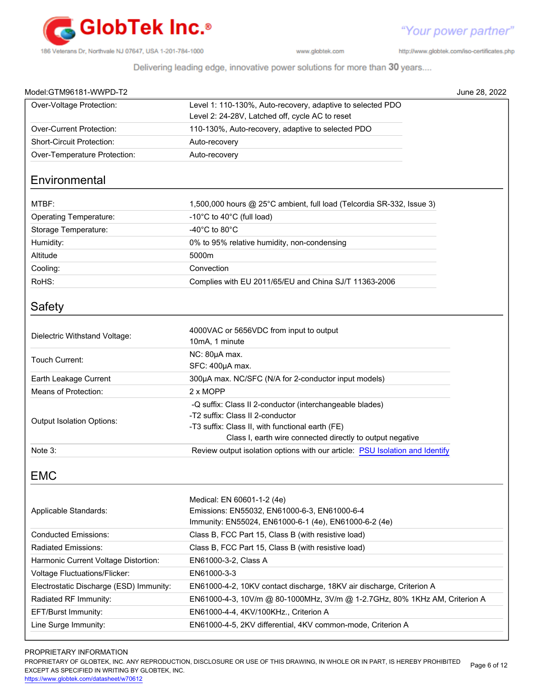

http://www.globtek.com/iso-certificates.php

Delivering leading edge, innovative power solutions for more than 30 years....

| Model:GTM96181-WWPD-T2                  | June 28, 2022                                                                                                 |
|-----------------------------------------|---------------------------------------------------------------------------------------------------------------|
| Over-Voltage Protection:                | Level 1: 110-130%, Auto-recovery, adaptive to selected PDO<br>Level 2: 24-28V, Latched off, cycle AC to reset |
| Over-Current Protection:                | 110-130%, Auto-recovery, adaptive to selected PDO                                                             |
| Short-Circuit Protection:               | Auto-recovery                                                                                                 |
| Over-Temperature Protection:            | Auto-recovery                                                                                                 |
|                                         |                                                                                                               |
| Environmental                           |                                                                                                               |
| MTBF:                                   | 1,500,000 hours @ 25°C ambient, full load (Telcordia SR-332, Issue 3)                                         |
| <b>Operating Temperature:</b>           | -10°C to 40°C (full load)                                                                                     |
| Storage Temperature:                    | -40 $^{\circ}$ C to 80 $^{\circ}$ C                                                                           |
| Humidity:                               | 0% to 95% relative humidity, non-condensing                                                                   |
| Altitude                                | 5000m                                                                                                         |
| Cooling:                                | Convection                                                                                                    |
| RoHS:                                   | Complies with EU 2011/65/EU and China SJ/T 11363-2006                                                         |
| Safety                                  |                                                                                                               |
| Dielectric Withstand Voltage:           | 4000VAC or 5656VDC from input to output<br>10mA, 1 minute                                                     |
| Touch Current:                          | NC: 80µA max.<br>SFC: 400µA max.                                                                              |
| Earth Leakage Current                   | 300µA max. NC/SFC (N/A for 2-conductor input models)                                                          |
| Means of Protection:                    | $2 \times \text{MOPP}$                                                                                        |
|                                         | -Q suffix: Class II 2-conductor (interchangeable blades)                                                      |
| Output Isolation Options:               | -T2 suffix: Class II 2-conductor                                                                              |
|                                         | -T3 suffix: Class II, with functional earth (FE)                                                              |
|                                         | Class I, earth wire connected directly to output negative                                                     |
| Note 3:                                 | Review output isolation options with our article: PSU Isolation and Identify                                  |
| <b>EMC</b>                              |                                                                                                               |
| Applicable Standards:                   | Medical: EN 60601-1-2 (4e)<br>Emissions: EN55032, EN61000-6-3, EN61000-6-4                                    |
|                                         | Immunity: EN55024, EN61000-6-1 (4e), EN61000-6-2 (4e)                                                         |
| <b>Conducted Emissions:</b>             | Class B, FCC Part 15, Class B (with resistive load)                                                           |
| Radiated Emissions:                     | Class B, FCC Part 15, Class B (with resistive load)                                                           |
| Harmonic Current Voltage Distortion:    | EN61000-3-2, Class A                                                                                          |
| Voltage Fluctuations/Flicker:           | EN61000-3-3                                                                                                   |
| Electrostatic Discharge (ESD) Immunity: | EN61000-4-2, 10KV contact discharge, 18KV air discharge, Criterion A                                          |
| Radiated RF Immunity:                   | EN61000-4-3, 10V/m @ 80-1000MHz, 3V/m @ 1-2.7GHz, 80% 1KHz AM, Criterion A                                    |
| EFT/Burst Immunity:                     | EN61000-4-4, 4KV/100KHz., Criterion A                                                                         |
| Line Surge Immunity:                    | EN61000-4-5, 2KV differential, 4KV common-mode, Criterion A                                                   |

## PROPRIETARY INFORMATION

PROPRIETARY OF GLOBTEK, INC. ANY REPRODUCTION, DISCLOSURE OR USE OF THIS DRAWING, IN WHOLE OR IN PART, IS HEREBY PROHIBITED EXCEPT AS SPECIFIED IN WRITING BY GLOBTEK, INC. Page 6 of 12

<https://www.globtek.com/datasheet/w70612>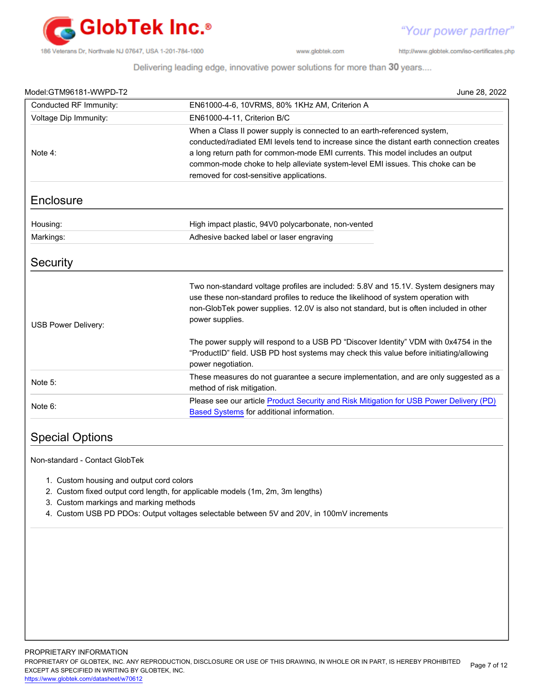

"Your power partner"

http://www.globtek.com/iso-certificates.php

Delivering leading edge, innovative power solutions for more than 30 years....

| Model:GTM96181-WWPD-T2 | June 28, 2022                                                                                                                                                                                                                                                                                                                             |
|------------------------|-------------------------------------------------------------------------------------------------------------------------------------------------------------------------------------------------------------------------------------------------------------------------------------------------------------------------------------------|
| Conducted RF Immunity: | EN61000-4-6, 10VRMS, 80% 1KHz AM, Criterion A                                                                                                                                                                                                                                                                                             |
| Voltage Dip Immunity:  | EN61000-4-11. Criterion B/C                                                                                                                                                                                                                                                                                                               |
| Note 4:                | When a Class II power supply is connected to an earth-referenced system,<br>conducted/radiated EMI levels tend to increase since the distant earth connection creates<br>a long return path for common-mode EMI currents. This model includes an output<br>common-mode choke to help alleviate system-level EMI issues. This choke can be |
| Enclosure              | removed for cost-sensitive applications.                                                                                                                                                                                                                                                                                                  |
|                        |                                                                                                                                                                                                                                                                                                                                           |
| Housing:               | High impact plastic, 94V0 polycarbonate, non-vented                                                                                                                                                                                                                                                                                       |
| Markings:              | Adhesive backed label or laser engraving                                                                                                                                                                                                                                                                                                  |
| Security               |                                                                                                                                                                                                                                                                                                                                           |
| USB Power Delivery:    | Two non-standard voltage profiles are included: 5.8V and 15.1V. System designers may<br>use these non-standard profiles to reduce the likelihood of system operation with<br>non-GlobTek power supplies. 12.0V is also not standard, but is often included in other<br>power supplies.                                                    |
|                        | The power supply will respond to a USB PD "Discover Identity" VDM with 0x4754 in the<br>"ProductID" field. USB PD host systems may check this value before initiating/allowing<br>power negotiation.                                                                                                                                      |
| Note 5:                | These measures do not guarantee a secure implementation, and are only suggested as a<br>method of risk mitigation.                                                                                                                                                                                                                        |
| Note 6:                | Please see our article Product Security and Risk Mitigation for USB Power Delivery (PD)<br>Based Systems for additional information.                                                                                                                                                                                                      |

## Special Options

Non-standard - Contact GlobTek

- 1. Custom housing and output cord colors
- 2. Custom fixed output cord length, for applicable models (1m, 2m, 3m lengths)
- 3. Custom markings and marking methods
- 4. Custom USB PD PDOs: Output voltages selectable between 5V and 20V, in 100mV increments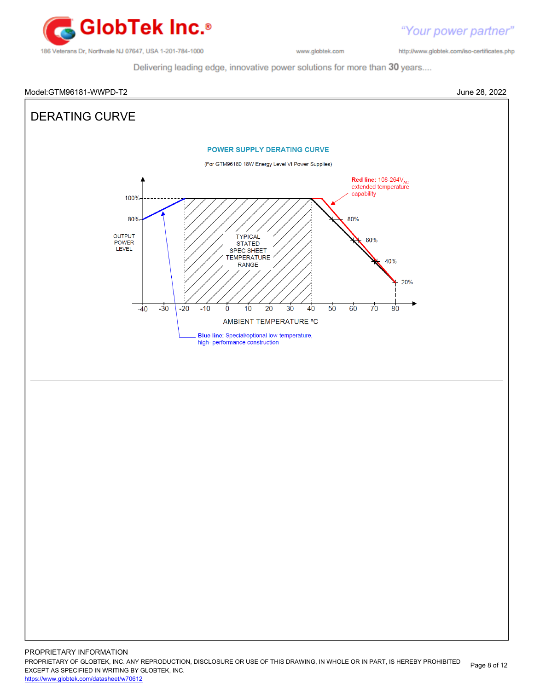

"Your power partner" http://www.globtek.com/iso-certificates.php

Delivering leading edge, innovative power solutions for more than 30 years....

## Model:GTM96181-WWPD-T2 June 28, 2022 DERATING CURVE**POWER SUPPLY DERATING CURVE** (For GTM96180 18W Energy Level VI Power Supplies) Red line: 108-264V<sub>AC</sub><br>extended temperature capability 100% 80% 80% OUTPUT TYPICAL 60% POWER **STATED** LEVEL **SPEC SHEET TEMPERATURE** 40% **RANGE** 20%  $\overline{70}$  $-40$  $-30$  $-20$  $-10$  $10$  $20$  $30$ 40 50 60  $80$ Ò AMBIENT TEMPERATURE °C Blue line: Special/optional low-temperature, high- performance construction PROPRIETARY INFORMATION

<https://www.globtek.com/datasheet/w70612>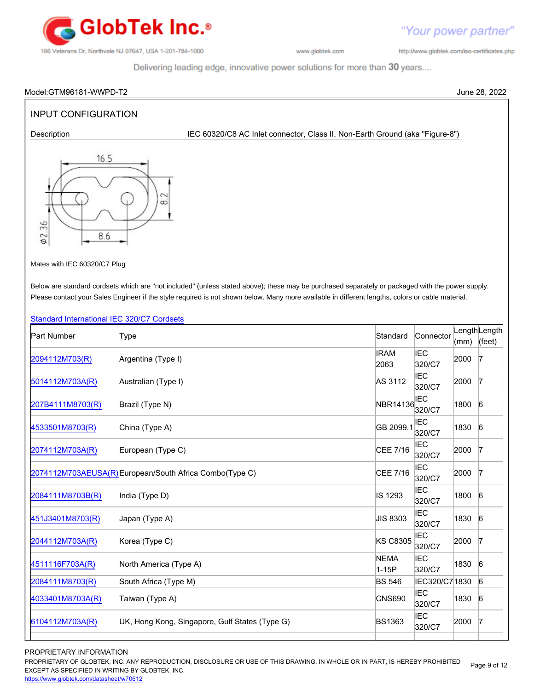

http://www.globtek.com/iso-certificates.php

"Your power partner"

Delivering leading edge, innovative power solutions for more than 30 years....

### Model:GTM96181-WWPD-T2 June 28, 2022

## INPUT CONFIGURATION

Description **IEC 60320/C8 AC Inlet connector, Class II, Non-Earth Ground (aka "Figure-8")** 



Mates with IEC 60320/C7 Plug

Below are standard cordsets which are "not included" (unless stated above); these may be purchased separately or packaged with the power supply. Please contact your Sales Engineer if the style required is not shown below. Many more available in different lengths, colors or cable material.

## [Standard International IEC 320/C7 Cordsets](http://www.globtek.com/pdf/international-cordset-with-iec-320_c7-703-connector/)

| <b>Part Number</b> | Type                                                    | Standard             | Connector            | (mm) | LengthLength<br>(feet) |
|--------------------|---------------------------------------------------------|----------------------|----------------------|------|------------------------|
| 2094112M703(R)     | Argentina (Type I)                                      | <b>IRAM</b><br>2063  | <b>IEC</b><br>320/C7 | 2000 | $\mathsf I$            |
| 5014112M703A(R)    | Australian (Type I)                                     | AS 3112              | <b>IEC</b><br>320/C7 | 2000 | $\mathsf I$            |
| 207B4111M8703(R)   | Brazil (Type N)                                         | NBR14136             | <b>IEC</b><br>320/C7 | 1800 | 6                      |
| 4533501M8703(R)    | China (Type A)                                          | GB 2099.1            | <b>IEC</b><br>320/C7 | 1830 | $6\overline{6}$        |
| 2074112M703A(R)    | European (Type C)                                       | CEE 7/16             | <b>IEC</b><br>320/C7 | 2000 | $\overline{7}$         |
|                    | 2074112M703AEUSA(R) European/South Africa Combo(Type C) | CEE 7/16             | IEC<br>320/C7        | 2000 | 17                     |
| 2084111M8703B(R)   | India (Type D)                                          | IS 1293              | <b>IEC</b><br>320/C7 | 1800 | $6\overline{6}$        |
| 451J3401M8703(R)   | Japan (Type A)                                          | JIS 8303             | <b>IEC</b><br>320/C7 | 1830 | 6                      |
| 2044112M703A(R)    | Korea (Type C)                                          | <b>KS C8305</b>      | IEC<br>320/C7        | 2000 | $\overline{7}$         |
| 4511116F703A(R)    | North America (Type A)                                  | <b>NEMA</b><br>1-15P | <b>IEC</b><br>320/C7 | 1830 | $\sqrt{6}$             |
| 2084111M8703(R)    | South Africa (Type M)                                   | <b>BS 546</b>        | IEC320/C7 1830       |      | $6\overline{6}$        |
| 4033401M8703A(R)   | Taiwan (Type A)                                         | <b>CNS690</b>        | <b>IEC</b><br>320/C7 | 1830 | 6                      |
| 6104112M703A(R)    | UK, Hong Kong, Singapore, Gulf States (Type G)          | <b>BS1363</b>        | IEC<br>320/C7        | 2000 | $\overline{7}$         |
|                    |                                                         |                      |                      |      |                        |

## PROPRIETARY INFORMATION

PROPRIETARY OF GLOBTEK, INC. ANY REPRODUCTION, DISCLOSURE OR USE OF THIS DRAWING, IN WHOLE OR IN PART, IS HEREBY PROHIBITED EXCEPT AS SPECIFIED IN WRITING BY GLOBTEK, INC. Page 9 of 12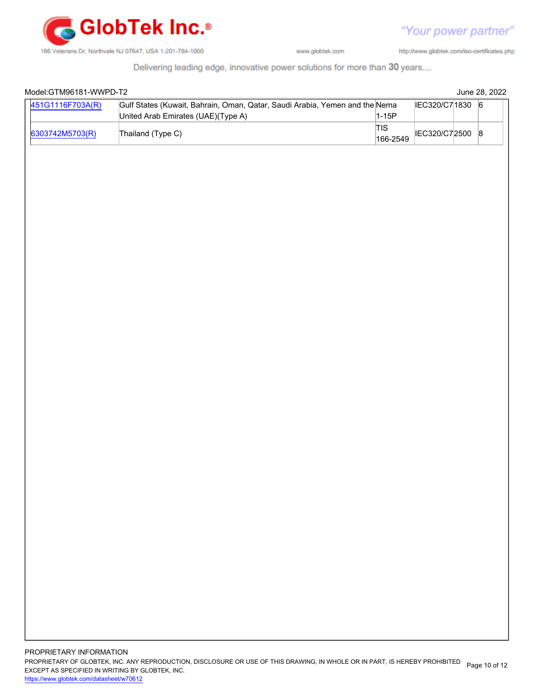

http://www.globtek.com/iso-certificates.php

Delivering leading edge, innovative power solutions for more than 30 years....

| 451G1116F703A(R) | Gulf States (Kuwait, Bahrain, Oman, Qatar, Saudi Arabia, Yemen and the Nema<br>United Arab Emirates (UAE)(Type A) | $1-15P$                | IEC320/C71830 6 |  |
|------------------|-------------------------------------------------------------------------------------------------------------------|------------------------|-----------------|--|
| 6303742M5703(R)  | Thailand (Type C)                                                                                                 | <b>TIS</b><br>166-2549 | IEC320/C72500 8 |  |
|                  |                                                                                                                   |                        |                 |  |
|                  |                                                                                                                   |                        |                 |  |
|                  |                                                                                                                   |                        |                 |  |
|                  |                                                                                                                   |                        |                 |  |
|                  |                                                                                                                   |                        |                 |  |
|                  |                                                                                                                   |                        |                 |  |
|                  |                                                                                                                   |                        |                 |  |
|                  |                                                                                                                   |                        |                 |  |
|                  |                                                                                                                   |                        |                 |  |
|                  |                                                                                                                   |                        |                 |  |
|                  |                                                                                                                   |                        |                 |  |
|                  |                                                                                                                   |                        |                 |  |
|                  |                                                                                                                   |                        |                 |  |
|                  |                                                                                                                   |                        |                 |  |
|                  |                                                                                                                   |                        |                 |  |
|                  |                                                                                                                   |                        |                 |  |
|                  |                                                                                                                   |                        |                 |  |
|                  |                                                                                                                   |                        |                 |  |
|                  |                                                                                                                   |                        |                 |  |
|                  |                                                                                                                   |                        |                 |  |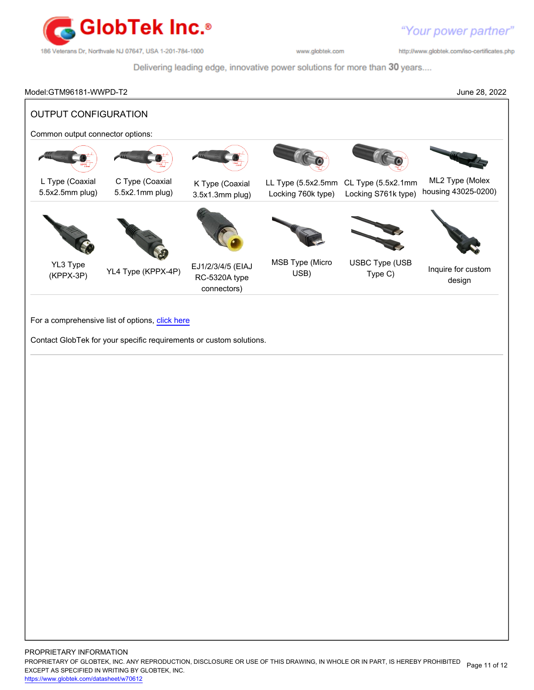

http://www.globtek.com/iso-certificates.php

Delivering leading edge, innovative power solutions for more than 30 years....

Model:GTM96181-WWPD-T2 June 28, 2022 OUTPUT CONFIGURATION Common output connector options: L Type (Coaxial 5.5x2.5mm plug) C Type (Coaxial 5.5x2.1mm plug) K Type (Coaxial 3.5x1.3mm plug) LL Type (5.5x2.5mm CL Type (5.5x2.1mm Locking 760k type) Locking S761k type) ML2 Type (Molex housing 43025-0200) YL3 Type (KPPX-3P) YL4 Type (KPPX-4P) EJ1/2/3/4/5 (EIAJ RC-5320A type connectors) MSB Type (Micro USB) USBC Type (USB Type (OOD Inquire for custom design

For a comprehensive list of options, [click here](https://en.globtek.com/globtek-output-cordsets/)

Contact GlobTek for your specific requirements or custom solutions.